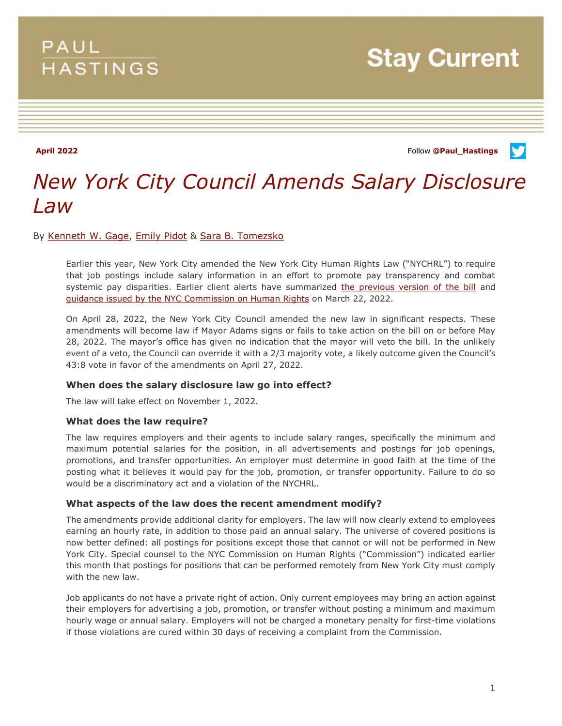## **PAUL HASTINGS**

**Stay Current** 

**April 2022** Follow **[@Paul\\_Hastings](http://twitter.com/Paul_Hastings)**

V

# *New York City Council Amends Salary Disclosure Law*

By [Kenneth W. Gage,](https://www.paulhastings.com/professionals/kennethgage) [Emily Pidot](https://www.paulhastings.com/professionals/emilypidot) & [Sara B. Tomezsko](https://www.paulhastings.com/professionals/saratomezsko)

Earlier this year, New York City amended the New York City Human Rights Law ("NYCHRL") to require that job postings include salary information in an effort to promote pay transparency and combat systemic pay disparities. Earlier client alerts have summarized [the previous version of the bill](https://www.paulhastings.com/insights/client-alerts/new-york-city-now-requires-salary-disclosures-for-applicants-and-employees) and [guidance issued by the NYC Commission on Human Rights](https://www.paulhastings.com/insights/client-alerts/new-york-city-commission-on-human-rights-issues-guidance-on-new-salary) on March 22, 2022.

On April 28, 2022, the New York City Council amended the new law in significant respects. These amendments will become law if Mayor Adams signs or fails to take action on the bill on or before May 28, 2022. The mayor's office has given no indication that the mayor will veto the bill. In the unlikely event of a veto, the Council can override it with a 2/3 majority vote, a likely outcome given the Council's 43:8 vote in favor of the amendments on April 27, 2022.

### **When does the salary disclosure law go into effect?**

The law will take effect on November 1, 2022.

#### **What does the law require?**

The law requires employers and their agents to include salary ranges, specifically the minimum and maximum potential salaries for the position, in all advertisements and postings for job openings, promotions, and transfer opportunities. An employer must determine in good faith at the time of the posting what it believes it would pay for the job, promotion, or transfer opportunity. Failure to do so would be a discriminatory act and a violation of the NYCHRL.

#### **What aspects of the law does the recent amendment modify?**

The amendments provide additional clarity for employers. The law will now clearly extend to employees earning an hourly rate, in addition to those paid an annual salary. The universe of covered positions is now better defined: all postings for positions except those that cannot or will not be performed in New York City. Special counsel to the NYC Commission on Human Rights ("Commission") indicated earlier this month that postings for positions that can be performed remotely from New York City must comply with the new law.

Job applicants do not have a private right of action. Only current employees may bring an action against their employers for advertising a job, promotion, or transfer without posting a minimum and maximum hourly wage or annual salary. Employers will not be charged a monetary penalty for first-time violations if those violations are cured within 30 days of receiving a complaint from the Commission.